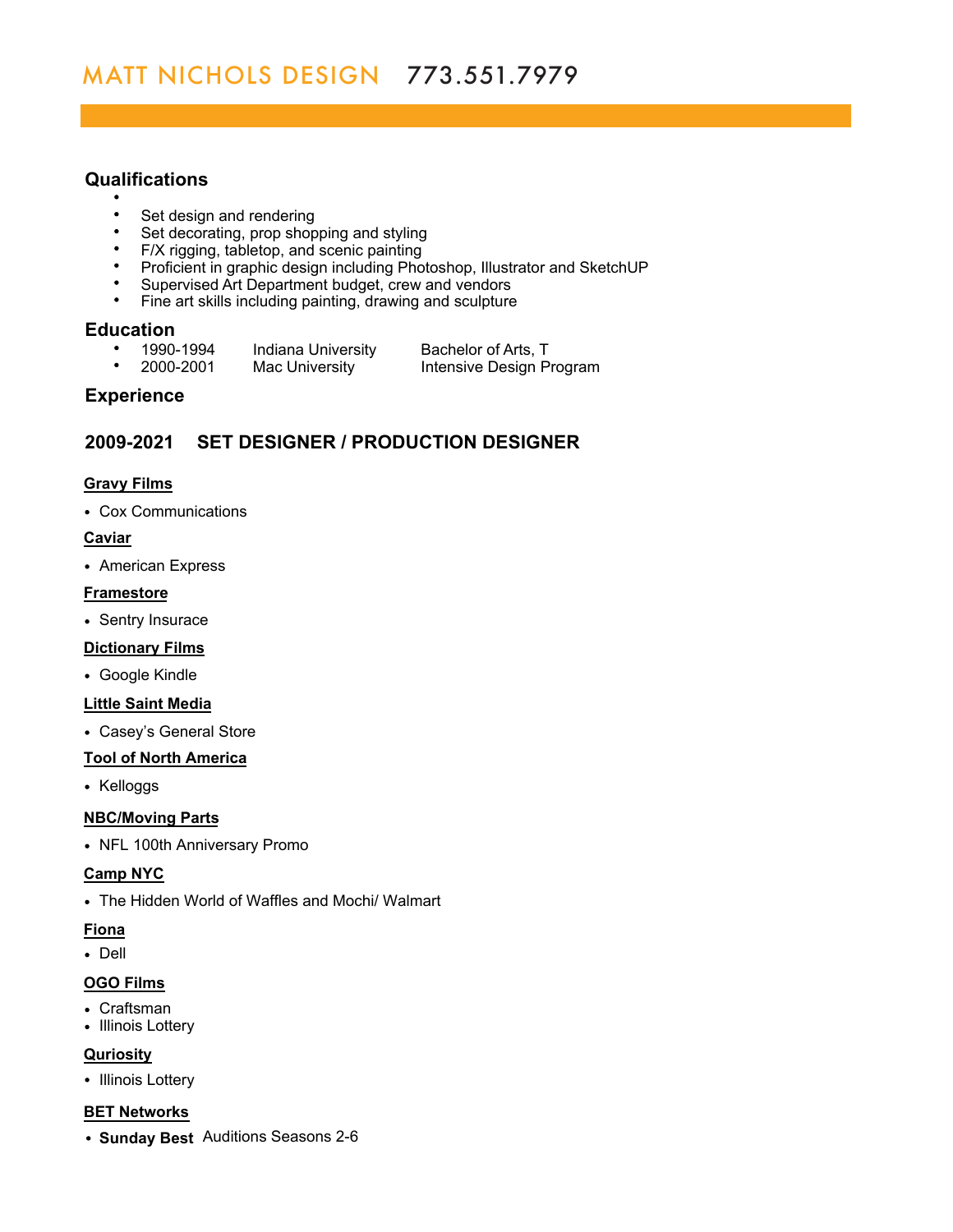# **Qualifications**

- 
- $\bullet$ Set design and rendering
- $\bullet$ Set decorating, prop shopping and styling
- F/X rigging, tabletop, and scenic painting
- Proficient in graphic design including Photoshop, Illustrator and SketchUP
- Supervised Art Department budget, crew and vendors
- $\bullet$ Fine art skills including painting, drawing and sculpture

# **Education**<br>**•** 1990-1994

- 
- 1990-1994 Indiana University Bachelor of Arts, T<br>2000-2001 Mac University Intensive Design P  $\bullet$ Intensive Design Program

# **Experience**

# **2009-2021 SET DESIGNER / PRODUCTION DESIGNER**

## **Gravy Films**

Cox Communications

#### **Caviar**

American Express

## **Framestore**

• Sentry Insurace

## **Dictionary Films**

Google Kindle

## **Little Saint Media**

Casey's General Store

## **Tool of North America**

• Kelloggs

## **NBC/Moving Parts**

• NFL 100th Anniversary Promo

## **Camp NYC**

The Hidden World of Waffles and Mochi/ Walmart

## **Fiona**

Dell

## **OGO Films**

- Craftsman
- Illinois Lottery

## **Quriosity**

• Illinois Lottery

#### **BET Networks**

**Sunday Best** Auditions Seasons 2-6